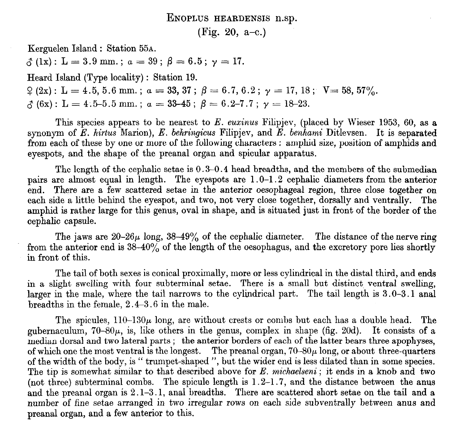ENOPLUS HEARDENSIS n.sp.

(Fig. 20, a-c.)

Kerguelen Island : Station 55A.

 $\delta$  (1x): L = 3.9 mm.;  $a = 39$ ;  $\beta = 6.5$ ;  $\gamma = 17$ .

Heard Island (Type locality) : Station 19.

 $\frac{9}{2} (2x)$ : L = 4.5, 5.6 mm.; a = 33, 37;  $\beta = 6.7, 6.2$ ;  $\gamma = 17, 18$ ; V = 58, 57%.

 $\hat{\phi}$  (6x): L = 4.5-5.5 mm.;  $\alpha = 33-45$ ;  $\beta = 6.2-7.7$ ;  $\gamma = 18-23$ .

This species appears to be nearest to E. euxinus Filipjev, (placed by Wieser 1953, 60, as a synonym of  $\overline{E}$ . hirtus Marion),  $E$ . behringicus Filipjev, and  $E$ . benhami Ditlevsen. It is separated from each of these by one or more of the following characters : amphid size, position of amphids and eyespots, and the shape of the preanal organ and spicular apparatus.

The length of the cephalic setae is 0.3-0.4 head breadths, and the members of the submedian pairs are almost equal in length. The eyespots are 1.0-l.2 cephalic diameters from the anterior end. There are a few scattered setae in the anterior oesophageal region, three close together on each side a little behind the eyespot, and two, not very close together, dorsally and ventrally. The amphid is rather large for this genus, oval in shape, and is situated just in front of the border of the cephalic capsule.

The jaws are  $20-26\mu$  long,  $38-49\%$  of the cephalic diameter. The distance of the nerve ring from the anterior end is  $38-40\%$  of the length of the oesophagus, and the excretory pore lies shortly in front of this.

The tail of both sexes is conical proximally, more or less cylindrical in the distal third, and ends in a slight swelling with four subterminal setae. There is a small but distinct. ventral swelling, larger in the male, where the tail narrows to the cylindrical part. The tail length is 3.0–3.1 anal breadths in the female, 2.4-3.6 in the male.

The spicules,  $110-130\mu$  long, are without crests or combs but each has a double head. The gubernaculum,  $70-80\mu$ , is, like others in the genus, complex in shape (fig. 20d). It consists of a median dorsal and two lateral parts ; the anterior borders of each of the latter bears three apophyses, of which one the most ventral is the longest. The preanal organ,  $70-80\mu$  long, or about three-quarters of the width of the body, is " trumpet-shaped ", but the wider end is less dilated than in some species. The tip is somewhat similar to that described above for E. michaelseni; it ends in a knob and two (not three) subterminal combs. The spicule length is  $1.2-1.7$ , and the distance between the anus and the preanal organ is 2.1-3.1, anal breadths. There are scattered short setae on the tail and a number of fine setae arranged in two irregular rows on each side subventrally between anus and preanal organ, and a few anterior to this.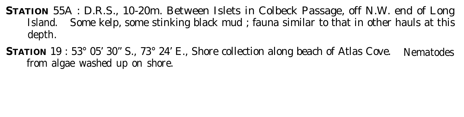**STATION** 55A : D.R.S., 10-20m. Between Islets in Colbeck Passage, off N.W. end of Long Island. Some kelp, some stinking black mud ; fauna similar to that in other hauls at this depth.

**STATION** 19 : 53° 05' 30" S., 73° 24' E., Shore collection along beach of Atlas Cove. Nematodes from algae washed up on shore.